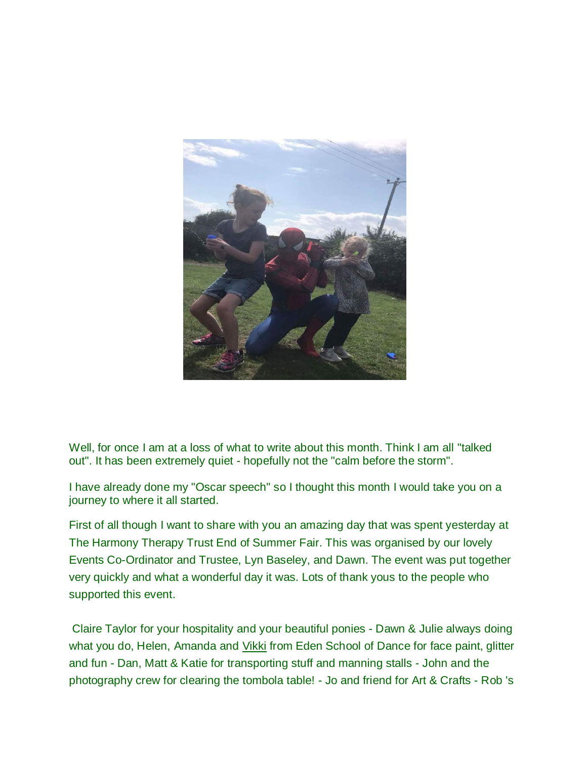

Well, for once I am at a loss of what to write about this month. Think I am all "talked" out". It has been extremely quiet - hopefully not the "calm before the storm".

I have already done my "Oscar speech" so I thought this month I would take you on a journey to where it all started.

First of all though I want to share with you an amazing day that was spent yesterday at The Harmony Therapy Trust End of Summer Fair. This was organised by our lovely Events Co-Ordinator and Trustee, Lyn Baseley, and Dawn. The event was put together very quickly and what a wonderful day it was. Lots of thank yous to the people who supported this event.

Claire Taylor for your hospitality and your beautiful ponies - Dawn & Julie always doing what you do, Helen, Amanda and [Vikki](https://theharmonytherapytrust.us8.list-manage.com/track/click?u=b6b7fdff0b318eb07faa9f047&id=a2de2b572b&e=5f7cef5106) from Eden School of Dance for face paint, glitter and fun - Dan, Matt & Katie for transporting stuff and manning stalls - John and the photography crew for clearing the tombola table! - Jo and friend for Art & Crafts - Rob 's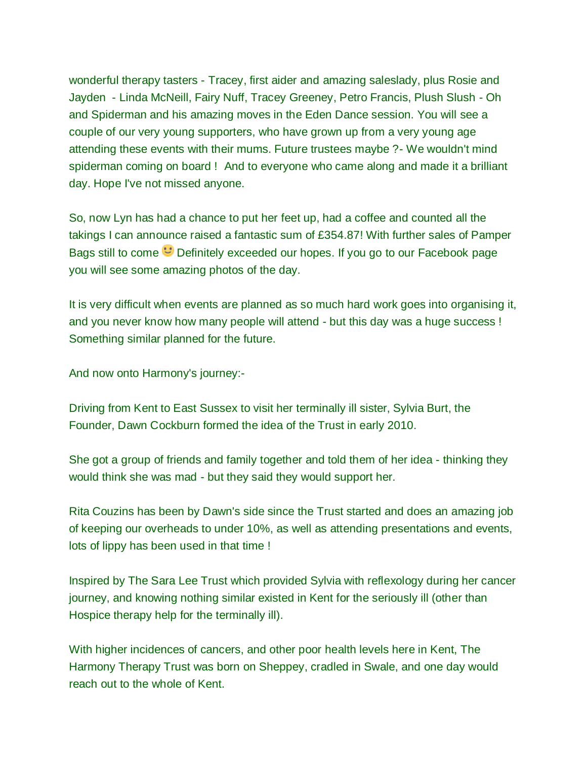wonderful therapy tasters - Tracey, first aider and amazing saleslady, plus Rosie and Jayden - Linda McNeill, Fairy Nuff, Tracey Greeney, Petro Francis, Plush Slush - Oh and Spiderman and his amazing moves in the Eden Dance session. You will see a couple of our very young supporters, who have grown up from a very young age attending these events with their mums. Future trustees maybe ?- We wouldn't mind spiderman coming on board ! And to everyone who came along and made it a brilliant day. Hope I've not missed anyone.

So, now Lyn has had a chance to put her feet up, had a coffee and counted all the takings I can announce raised a fantastic sum of £354.87! With further sales of Pamper Bags still to come **D**efinitely exceeded our hopes. If you go to our Facebook page you will see some amazing photos of the day.

It is very difficult when events are planned as so much hard work goes into organising it, and you never know how many people will attend - but this day was a huge success ! Something similar planned for the future.

And now onto Harmony's journey:-

Driving from Kent to East Sussex to visit her terminally ill sister, Sylvia Burt, the Founder, Dawn Cockburn formed the idea of the Trust in early 2010.

She got a group of friends and family together and told them of her idea - thinking they would think she was mad - but they said they would support her.

Rita Couzins has been by Dawn's side since the Trust started and does an amazing job of keeping our overheads to under 10%, as well as attending presentations and events, lots of lippy has been used in that time !

Inspired by The Sara Lee Trust which provided Sylvia with reflexology during her cancer journey, and knowing nothing similar existed in Kent for the seriously ill (other than Hospice therapy help for the terminally ill).

With higher incidences of cancers, and other poor health levels here in Kent, The Harmony Therapy Trust was born on Sheppey, cradled in Swale, and one day would reach out to the whole of Kent.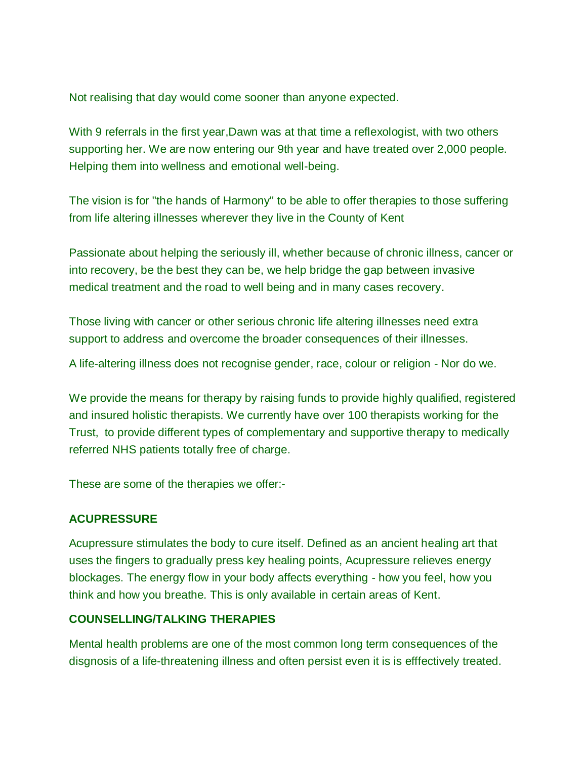Not realising that day would come sooner than anyone expected.

With 9 referrals in the first year, Dawn was at that time a reflexologist, with two others supporting her. We are now entering our 9th year and have treated over 2,000 people. Helping them into wellness and emotional well-being.

The vision is for "the hands of Harmony" to be able to offer therapies to those suffering from life altering illnesses wherever they live in the County of Kent

Passionate about helping the seriously ill, whether because of chronic illness, cancer or into recovery, be the best they can be, we help bridge the gap between invasive medical treatment and the road to well being and in many cases recovery.

Those living with cancer or other serious chronic life altering illnesses need extra support to address and overcome the broader consequences of their illnesses.

A life-altering illness does not recognise gender, race, colour or religion - Nor do we.

We provide the means for therapy by raising funds to provide highly qualified, registered and insured holistic therapists. We currently have over 100 therapists working for the Trust, to provide different types of complementary and supportive therapy to medically referred NHS patients totally free of charge.

These are some of the therapies we offer:-

### **ACUPRESSURE**

Acupressure stimulates the body to cure itself. Defined as an ancient healing art that uses the fingers to gradually press key healing points, Acupressure relieves energy blockages. The energy flow in your body affects everything - how you feel, how you think and how you breathe. This is only available in certain areas of Kent.

### **COUNSELLING/TALKING THERAPIES**

Mental health problems are one of the most common long term consequences of the disgnosis of a life-threatening illness and often persist even it is is efffectively treated.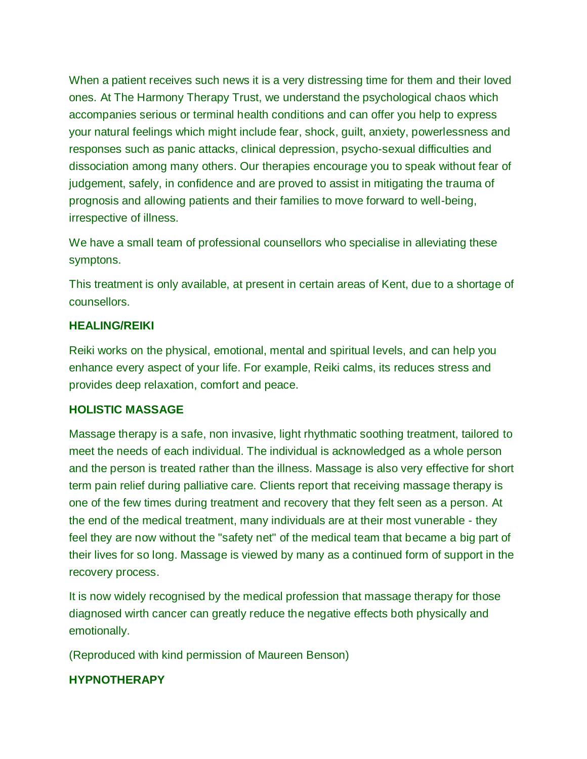When a patient receives such news it is a very distressing time for them and their loved ones. At The Harmony Therapy Trust, we understand the psychological chaos which accompanies serious or terminal health conditions and can offer you help to express your natural feelings which might include fear, shock, guilt, anxiety, powerlessness and responses such as panic attacks, clinical depression, psycho-sexual difficulties and dissociation among many others. Our therapies encourage you to speak without fear of judgement, safely, in confidence and are proved to assist in mitigating the trauma of prognosis and allowing patients and their families to move forward to well-being, irrespective of illness.

We have a small team of professional counsellors who specialise in alleviating these symptons.

This treatment is only available, at present in certain areas of Kent, due to a shortage of counsellors.

### **HEALING/REIKI**

Reiki works on the physical, emotional, mental and spiritual levels, and can help you enhance every aspect of your life. For example, Reiki calms, its reduces stress and provides deep relaxation, comfort and peace.

### **HOLISTIC MASSAGE**

Massage therapy is a safe, non invasive, light rhythmatic soothing treatment, tailored to meet the needs of each individual. The individual is acknowledged as a whole person and the person is treated rather than the illness. Massage is also very effective for short term pain relief during palliative care. Clients report that receiving massage therapy is one of the few times during treatment and recovery that they felt seen as a person. At the end of the medical treatment, many individuals are at their most vunerable - they feel they are now without the "safety net" of the medical team that became a big part of their lives for so long. Massage is viewed by many as a continued form of support in the recovery process.

It is now widely recognised by the medical profession that massage therapy for those diagnosed wirth cancer can greatly reduce the negative effects both physically and emotionally.

(Reproduced with kind permission of Maureen Benson)

### **HYPNOTHERAPY**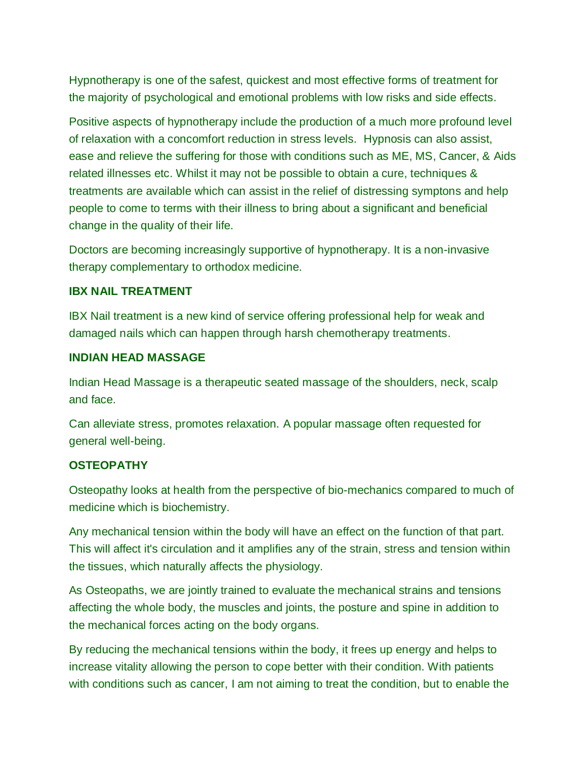Hypnotherapy is one of the safest, quickest and most effective forms of treatment for the majority of psychological and emotional problems with low risks and side effects.

Positive aspects of hypnotherapy include the production of a much more profound level of relaxation with a concomfort reduction in stress levels. Hypnosis can also assist, ease and relieve the suffering for those with conditions such as ME, MS, Cancer, & Aids related illnesses etc. Whilst it may not be possible to obtain a cure, techniques & treatments are available which can assist in the relief of distressing symptons and help people to come to terms with their illness to bring about a significant and beneficial change in the quality of their life.

Doctors are becoming increasingly supportive of hypnotherapy. It is a non-invasive therapy complementary to orthodox medicine.

#### **IBX NAIL TREATMENT**

IBX Nail treatment is a new kind of service offering professional help for weak and damaged nails which can happen through harsh chemotherapy treatments.

#### **INDIAN HEAD MASSAGE**

Indian Head Massage is a therapeutic seated massage of the shoulders, neck, scalp and face.

Can alleviate stress, promotes relaxation. A popular massage often requested for general well-being.

### **OSTEOPATHY**

Osteopathy looks at health from the perspective of bio-mechanics compared to much of medicine which is biochemistry.

Any mechanical tension within the body will have an effect on the function of that part. This will affect it's circulation and it amplifies any of the strain, stress and tension within the tissues, which naturally affects the physiology.

As Osteopaths, we are jointly trained to evaluate the mechanical strains and tensions affecting the whole body, the muscles and joints, the posture and spine in addition to the mechanical forces acting on the body organs.

By reducing the mechanical tensions within the body, it frees up energy and helps to increase vitality allowing the person to cope better with their condition. With patients with conditions such as cancer, I am not aiming to treat the condition, but to enable the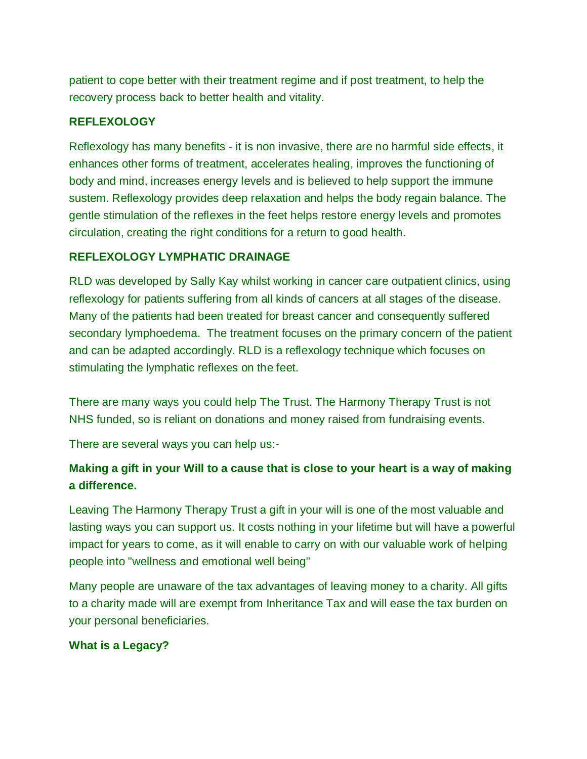patient to cope better with their treatment regime and if post treatment, to help the recovery process back to better health and vitality.

## **REFLEXOLOGY**

Reflexology has many benefits - it is non invasive, there are no harmful side effects, it enhances other forms of treatment, accelerates healing, improves the functioning of body and mind, increases energy levels and is believed to help support the immune sustem. Reflexology provides deep relaxation and helps the body regain balance. The gentle stimulation of the reflexes in the feet helps restore energy levels and promotes circulation, creating the right conditions for a return to good health.

## **REFLEXOLOGY LYMPHATIC DRAINAGE**

RLD was developed by Sally Kay whilst working in cancer care outpatient clinics, using reflexology for patients suffering from all kinds of cancers at all stages of the disease. Many of the patients had been treated for breast cancer and consequently suffered secondary lymphoedema. The treatment focuses on the primary concern of the patient and can be adapted accordingly. RLD is a reflexology technique which focuses on stimulating the lymphatic reflexes on the feet.

There are many ways you could help The Trust. The Harmony Therapy Trust is not NHS funded, so is reliant on donations and money raised from fundraising events.

There are several ways you can help us:-

# **Making a gift in your Will to a cause that is close to your heart is a way of making a difference.**

Leaving The Harmony Therapy Trust a gift in your will is one of the most valuable and lasting ways you can support us. It costs nothing in your lifetime but will have a powerful impact for years to come, as it will enable to carry on with our valuable work of helping people into "wellness and emotional well being"

Many people are unaware of the tax advantages of leaving money to a charity. All gifts to a charity made will are exempt from Inheritance Tax and will ease the tax burden on your personal beneficiaries.

### **What is a Legacy?**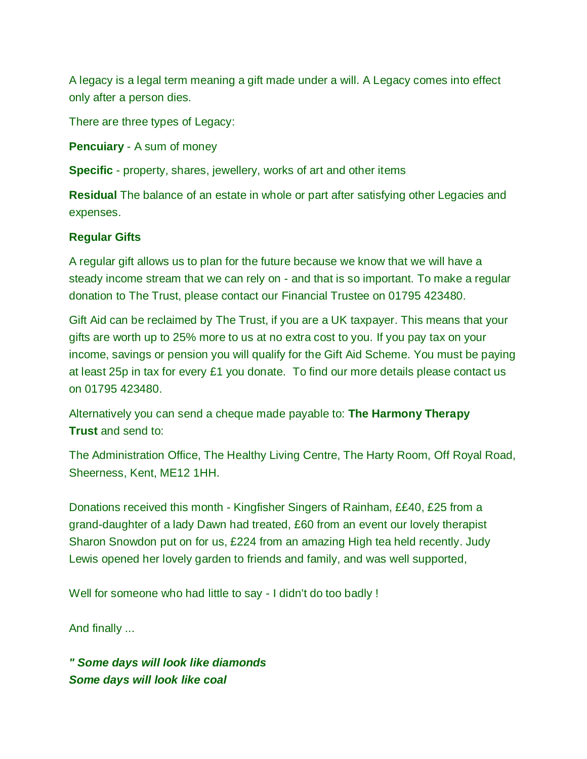A legacy is a legal term meaning a gift made under a will. A Legacy comes into effect only after a person dies.

There are three types of Legacy:

**Pencuiary** - A sum of money

**Specific** - property, shares, jewellery, works of art and other items

**Residual** The balance of an estate in whole or part after satisfying other Legacies and expenses.

## **Regular Gifts**

A regular gift allows us to plan for the future because we know that we will have a steady income stream that we can rely on - and that is so important. To make a regular donation to The Trust, please contact our Financial Trustee on 01795 423480.

Gift Aid can be reclaimed by The Trust, if you are a UK taxpayer. This means that your gifts are worth up to 25% more to us at no extra cost to you. If you pay tax on your income, savings or pension you will qualify for the Gift Aid Scheme. You must be paying at least 25p in tax for every £1 you donate. To find our more details please contact us on 01795 423480.

Alternatively you can send a cheque made payable to: **The Harmony Therapy Trust** and send to:

The Administration Office, The Healthy Living Centre, The Harty Room, Off Royal Road, Sheerness, Kent, ME12 1HH.

Donations received this month - Kingfisher Singers of Rainham, ££40, £25 from a grand-daughter of a lady Dawn had treated, £60 from an event our lovely therapist Sharon Snowdon put on for us, £224 from an amazing High tea held recently. Judy Lewis opened her lovely garden to friends and family, and was well supported,

Well for someone who had little to say - I didn't do too badly !

And finally ...

*" Some days will look like diamonds Some days will look like coal*